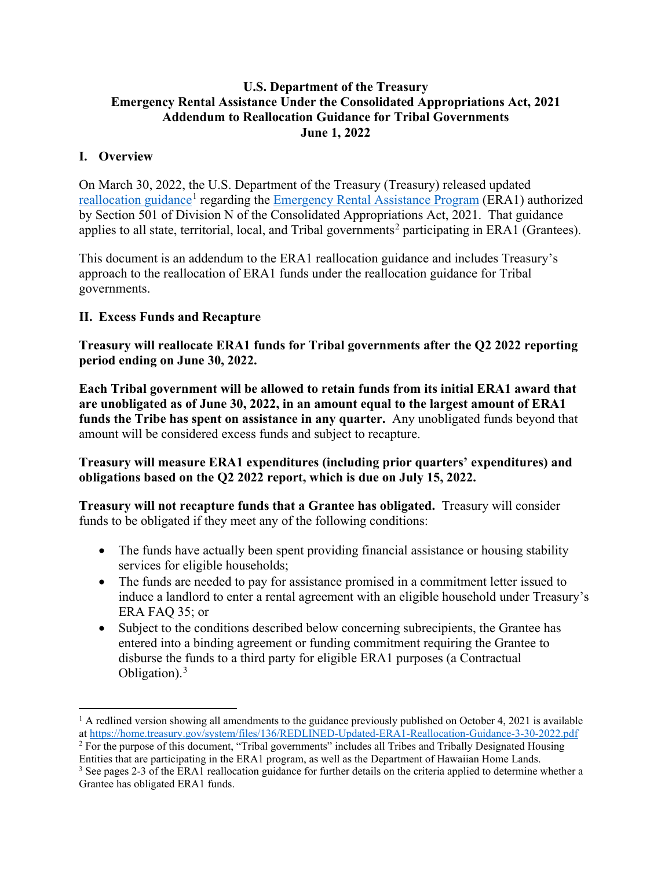### **U.S. Department of the Treasury Emergency Rental Assistance Under the Consolidated Appropriations Act, 2021 Addendum to Reallocation Guidance for Tribal Governments June 1, 2022**

## **I. Overview**

On March 30, 2022, the U.S. Department of the Treasury (Treasury) released updated [reallocation guidance](https://home.treasury.gov/system/files/136/Updated-ERA1-Reallocation-Guidance%203-30-%202022.pdf)<sup>[1](#page-0-0)</sup> regarding the [Emergency Rental Assistance Program](https://home.treasury.gov/system/files/136/era-1-program-statute-section-501.pdf) (ERA1) authorized by Section 501 of Division N of the Consolidated Appropriations Act, 2021. That guidance applies to all state, territorial, local, and Tribal governments<sup>[2](#page-0-1)</sup> participating in ERA1 (Grantees).

This document is an addendum to the ERA1 reallocation guidance and includes Treasury's approach to the reallocation of ERA1 funds under the reallocation guidance for Tribal governments.

### **II. Excess Funds and Recapture**

**Treasury will reallocate ERA1 funds for Tribal governments after the Q2 2022 reporting period ending on June 30, 2022.** 

**Each Tribal government will be allowed to retain funds from its initial ERA1 award that are unobligated as of June 30, 2022, in an amount equal to the largest amount of ERA1 funds the Tribe has spent on assistance in any quarter.** Any unobligated funds beyond that amount will be considered excess funds and subject to recapture.

**Treasury will measure ERA1 expenditures (including prior quarters' expenditures) and obligations based on the Q2 2022 report, which is due on July 15, 2022.**

**Treasury will not recapture funds that a Grantee has obligated.** Treasury will consider funds to be obligated if they meet any of the following conditions:

- The funds have actually been spent providing financial assistance or housing stability services for eligible households;
- The funds are needed to pay for assistance promised in a commitment letter issued to induce a landlord to enter a rental agreement with an eligible household under Treasury's ERA FAQ 35; or
- Subject to the conditions described below concerning subrecipients, the Grantee has entered into a binding agreement or funding commitment requiring the Grantee to disburse the funds to a third party for eligible ERA1 purposes (a Contractual Obligation). $3$

<span id="page-0-0"></span> $1$  A redlined version showing all amendments to the guidance previously published on October 4, 2021 is available a[t https://home.treasury.gov/system/files/136/REDLINED-Updated-ERA1-Reallocation-Guidance-3-30-2022.pdf](https://home.treasury.gov/system/files/136/REDLINED-Updated-ERA1-Reallocation-Guidance-3-30-2022.pdf)

<span id="page-0-1"></span><sup>&</sup>lt;sup>2</sup> For the purpose of this document, "Tribal governments" includes all Tribes and Tribally Designated Housing Entities that are participating in the ERA1 program, as well as the Department of Hawaiian Home Lands.

<span id="page-0-2"></span><sup>&</sup>lt;sup>3</sup> See pages 2-3 of the ERA1 reallocation guidance for further details on the criteria applied to determine whether a Grantee has obligated ERA1 funds.